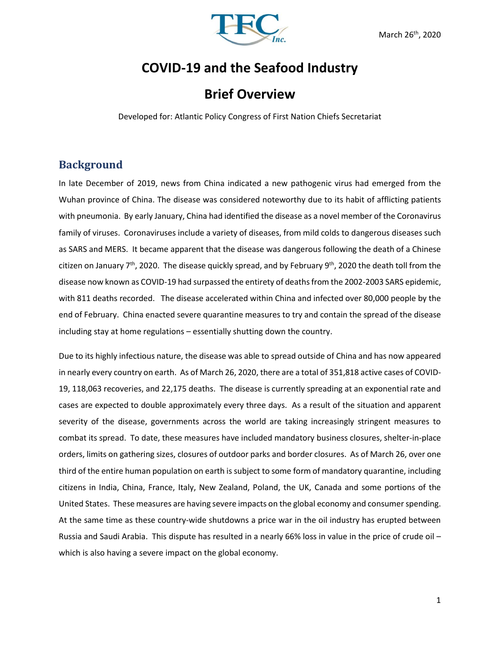

# **COVID-19 and the Seafood Industry**

# **Brief Overview**

Developed for: Atlantic Policy Congress of First Nation Chiefs Secretariat

## **Background**

In late December of 2019, news from China indicated a new pathogenic virus had emerged from the Wuhan province of China. The disease was considered noteworthy due to its habit of afflicting patients with pneumonia. By early January, China had identified the disease as a novel member of the Coronavirus family of viruses. Coronaviruses include a variety of diseases, from mild colds to dangerous diseases such as SARS and MERS. It became apparent that the disease was dangerous following the death of a Chinese citizen on January 7<sup>th</sup>, 2020. The disease quickly spread, and by February 9<sup>th</sup>, 2020 the death toll from the disease now known as COVID-19 had surpassed the entirety of deaths from the 2002-2003 SARS epidemic, with 811 deaths recorded. The disease accelerated within China and infected over 80,000 people by the end of February. China enacted severe quarantine measures to try and contain the spread of the disease including stay at home regulations – essentially shutting down the country.

Due to its highly infectious nature, the disease was able to spread outside of China and has now appeared in nearly every country on earth. As of March 26, 2020, there are a total of 351,818 active cases of COVID-19, 118,063 recoveries, and 22,175 deaths. The disease is currently spreading at an exponential rate and cases are expected to double approximately every three days. As a result of the situation and apparent severity of the disease, governments across the world are taking increasingly stringent measures to combat its spread. To date, these measures have included mandatory business closures, shelter-in-place orders, limits on gathering sizes, closures of outdoor parks and border closures. As of March 26, over one third of the entire human population on earth is subject to some form of mandatory quarantine, including citizens in India, China, France, Italy, New Zealand, Poland, the UK, Canada and some portions of the United States. These measures are having severe impacts on the global economy and consumer spending. At the same time as these country-wide shutdowns a price war in the oil industry has erupted between Russia and Saudi Arabia. This dispute has resulted in a nearly 66% loss in value in the price of crude oil – which is also having a severe impact on the global economy.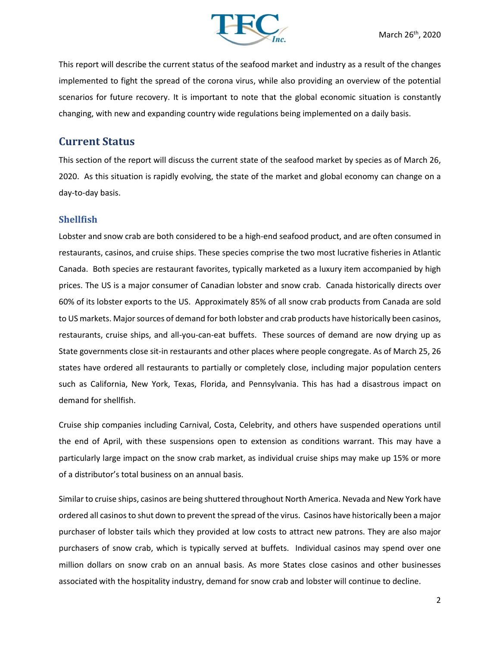

This report will describe the current status of the seafood market and industry as a result of the changes implemented to fight the spread of the corona virus, while also providing an overview of the potential scenarios for future recovery. It is important to note that the global economic situation is constantly changing, with new and expanding country wide regulations being implemented on a daily basis.

### **Current Status**

This section of the report will discuss the current state of the seafood market by species as of March 26, 2020. As this situation is rapidly evolving, the state of the market and global economy can change on a day-to-day basis.

#### **Shellfish**

Lobster and snow crab are both considered to be a high-end seafood product, and are often consumed in restaurants, casinos, and cruise ships. These species comprise the two most lucrative fisheries in Atlantic Canada. Both species are restaurant favorites, typically marketed as a luxury item accompanied by high prices. The US is a major consumer of Canadian lobster and snow crab. Canada historically directs over 60% of its lobster exports to the US. Approximately 85% of all snow crab products from Canada are sold to US markets. Major sources of demand for both lobster and crab products have historically been casinos, restaurants, cruise ships, and all-you-can-eat buffets. These sources of demand are now drying up as State governments close sit-in restaurants and other places where people congregate. As of March 25, 26 states have ordered all restaurants to partially or completely close, including major population centers such as California, New York, Texas, Florida, and Pennsylvania. This has had a disastrous impact on demand for shellfish.

Cruise ship companies including Carnival, Costa, Celebrity, and others have suspended operations until the end of April, with these suspensions open to extension as conditions warrant. This may have a particularly large impact on the snow crab market, as individual cruise ships may make up 15% or more of a distributor's total business on an annual basis.

Similar to cruise ships, casinos are being shuttered throughout North America. Nevada and New York have ordered all casinos to shut down to prevent the spread of the virus. Casinos have historically been a major purchaser of lobster tails which they provided at low costs to attract new patrons. They are also major purchasers of snow crab, which is typically served at buffets. Individual casinos may spend over one million dollars on snow crab on an annual basis. As more States close casinos and other businesses associated with the hospitality industry, demand for snow crab and lobster will continue to decline.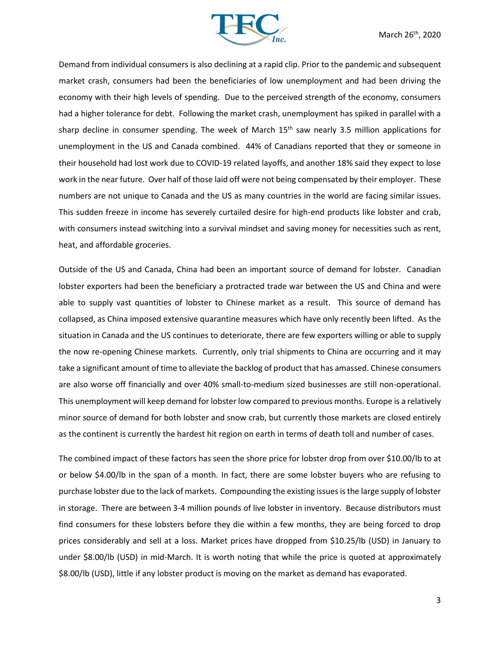

Demand from individual consumers is also declining at a rapid clip. Prior to the pandemic and subsequent market crash, consumers had been the beneficiaries of low unemployment and had been driving the economy with their high levels of spending. Due to the perceived strength of the economy, consumers had a higher tolerance for debt. Following the market crash, unemployment has spiked in parallel with a sharp decline in consumer spending. The week of March 15<sup>th</sup> saw nearly 3.5 million applications for unemployment in the US and Canada combined. 44% of Canadians reported that they or someone in their household had lost work due to COVID-19 related layoffs, and another 18% said they expect to lose work in the near future. Over half of those laid off were not being compensated by their employer. These numbers are not unique to Canada and the US as many countries in the world are facing similar issues. This sudden freeze in income has severely curtailed desire for high-end products like lobster and crab, with consumers instead switching into a survival mindset and saving money for necessities such as rent, heat, and affordable groceries.

Outside of the US and Canada, China had been an important source of demand for lobster. Canadian lobster exporters had been the beneficiary a protracted trade war between the US and China and were able to supply vast quantities of lobster to Chinese market as a result. This source of demand has collapsed, as China imposed extensive quarantine measures which have only recently been lifted. As the situation in Canada and the US continues to deteriorate, there are few exporters willing or able to supply the now re-opening Chinese markets. Currently, only trial shipments to China are occurring and it may take a significant amount of time to alleviate the backlog of product that has amassed. Chinese consumers are also worse off financially and over 40% small-to-medium sized businesses are still non-operational. This unemployment will keep demand for lobster low compared to previous months. Europe is a relatively minor source of demand for both lobster and snow crab, but currently those markets are closed entirely as the continent is currently the hardest hit region on earth in terms of death toll and number of cases.

The combined impact of these factors has seen the shore price for lobster drop from over \$10.00/lb to at or below \$4.00/lb in the span of a month. In fact, there are some lobster buyers who are refusing to purchase lobster due to the lack of markets. Compounding the existing issues is the large supply of lobster in storage. There are between 3-4 million pounds of live lobster in inventory. Because distributors must find consumers for these lobsters before they die within a few months, they are being forced to drop prices considerably and sell at a loss. Market prices have dropped from \$10.25/lb (USD) in January to under \$8.00/lb (USD) in mid-March. It is worth noting that while the price is quoted at approximately \$8.00/lb (USD), little if any lobster product is moving on the market as demand has evaporated.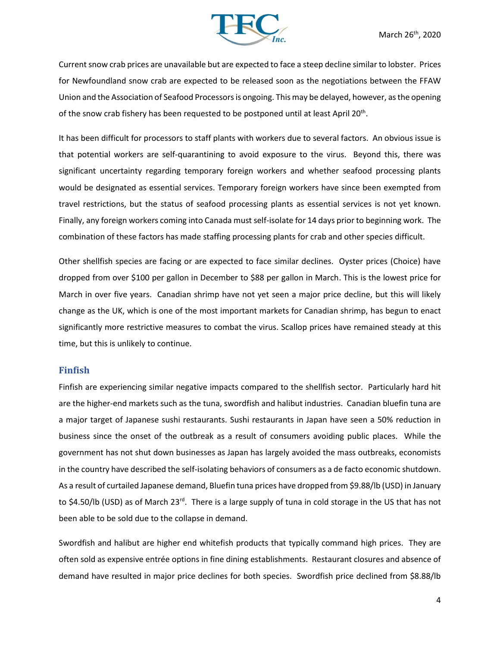

Current snow crab prices are unavailable but are expected to face a steep decline similar to lobster. Prices for Newfoundland snow crab are expected to be released soon as the negotiations between the FFAW Union and the Association of Seafood Processors is ongoing. This may be delayed, however, as the opening of the snow crab fishery has been requested to be postponed until at least April 20<sup>th</sup>.

It has been difficult for processors to staff plants with workers due to several factors. An obvious issue is that potential workers are self-quarantining to avoid exposure to the virus. Beyond this, there was significant uncertainty regarding temporary foreign workers and whether seafood processing plants would be designated as essential services. Temporary foreign workers have since been exempted from travel restrictions, but the status of seafood processing plants as essential services is not yet known. Finally, any foreign workers coming into Canada must self-isolate for 14 days prior to beginning work. The combination of these factors has made staffing processing plants for crab and other species difficult.

Other shellfish species are facing or are expected to face similar declines. Oyster prices (Choice) have dropped from over \$100 per gallon in December to \$88 per gallon in March. This is the lowest price for March in over five years. Canadian shrimp have not yet seen a major price decline, but this will likely change as the UK, which is one of the most important markets for Canadian shrimp, has begun to enact significantly more restrictive measures to combat the virus. Scallop prices have remained steady at this time, but this is unlikely to continue.

#### **Finfish**

Finfish are experiencing similar negative impacts compared to the shellfish sector. Particularly hard hit are the higher-end markets such as the tuna, swordfish and halibut industries. Canadian bluefin tuna are a major target of Japanese sushi restaurants. Sushi restaurants in Japan have seen a 50% reduction in business since the onset of the outbreak as a result of consumers avoiding public places. While the government has not shut down businesses as Japan has largely avoided the mass outbreaks, economists in the country have described the self-isolating behaviors of consumers as a de facto economic shutdown. As a result of curtailed Japanese demand, Bluefin tuna prices have dropped from \$9.88/lb (USD) in January to \$4.50/lb (USD) as of March 23<sup>rd</sup>. There is a large supply of tuna in cold storage in the US that has not been able to be sold due to the collapse in demand.

Swordfish and halibut are higher end whitefish products that typically command high prices. They are often sold as expensive entrée options in fine dining establishments. Restaurant closures and absence of demand have resulted in major price declines for both species. Swordfish price declined from \$8.88/lb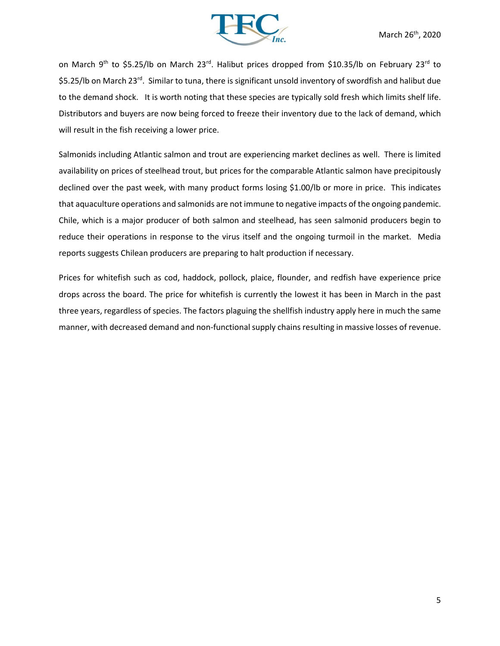

on March 9<sup>th</sup> to \$5.25/lb on March 23<sup>rd</sup>. Halibut prices dropped from \$10.35/lb on February 23<sup>rd</sup> to \$5.25/lb on March 23<sup>rd</sup>. Similar to tuna, there is significant unsold inventory of swordfish and halibut due to the demand shock. It is worth noting that these species are typically sold fresh which limits shelf life. Distributors and buyers are now being forced to freeze their inventory due to the lack of demand, which will result in the fish receiving a lower price.

Salmonids including Atlantic salmon and trout are experiencing market declines as well. There is limited availability on prices of steelhead trout, but prices for the comparable Atlantic salmon have precipitously declined over the past week, with many product forms losing \$1.00/lb or more in price. This indicates that aquaculture operations and salmonids are not immune to negative impacts of the ongoing pandemic. Chile, which is a major producer of both salmon and steelhead, has seen salmonid producers begin to reduce their operations in response to the virus itself and the ongoing turmoil in the market. Media reports suggests Chilean producers are preparing to halt production if necessary.

Prices for whitefish such as cod, haddock, pollock, plaice, flounder, and redfish have experience price drops across the board. The price for whitefish is currently the lowest it has been in March in the past three years, regardless of species. The factors plaguing the shellfish industry apply here in much the same manner, with decreased demand and non-functional supply chains resulting in massive losses of revenue.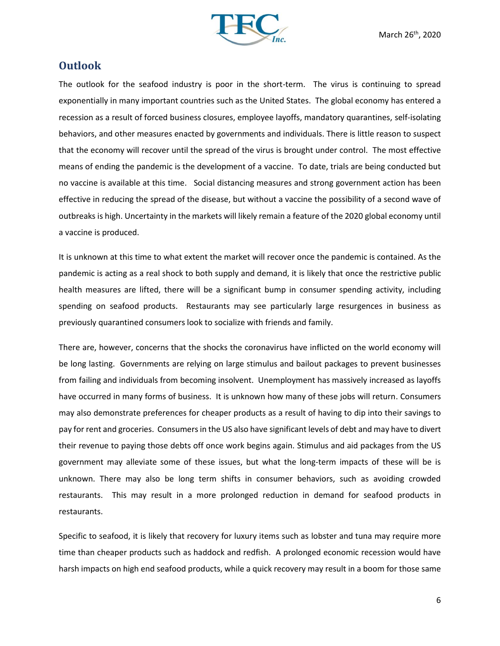

### **Outlook**

The outlook for the seafood industry is poor in the short-term. The virus is continuing to spread exponentially in many important countries such as the United States. The global economy has entered a recession as a result of forced business closures, employee layoffs, mandatory quarantines, self-isolating behaviors, and other measures enacted by governments and individuals. There is little reason to suspect that the economy will recover until the spread of the virus is brought under control. The most effective means of ending the pandemic is the development of a vaccine. To date, trials are being conducted but no vaccine is available at this time. Social distancing measures and strong government action has been effective in reducing the spread of the disease, but without a vaccine the possibility of a second wave of outbreaks is high. Uncertainty in the markets will likely remain a feature of the 2020 global economy until a vaccine is produced.

It is unknown at this time to what extent the market will recover once the pandemic is contained. As the pandemic is acting as a real shock to both supply and demand, it is likely that once the restrictive public health measures are lifted, there will be a significant bump in consumer spending activity, including spending on seafood products. Restaurants may see particularly large resurgences in business as previously quarantined consumers look to socialize with friends and family.

There are, however, concerns that the shocks the coronavirus have inflicted on the world economy will be long lasting. Governments are relying on large stimulus and bailout packages to prevent businesses from failing and individuals from becoming insolvent. Unemployment has massively increased as layoffs have occurred in many forms of business. It is unknown how many of these jobs will return. Consumers may also demonstrate preferences for cheaper products as a result of having to dip into their savings to pay for rent and groceries. Consumers in the US also have significant levels of debt and may have to divert their revenue to paying those debts off once work begins again. Stimulus and aid packages from the US government may alleviate some of these issues, but what the long-term impacts of these will be is unknown. There may also be long term shifts in consumer behaviors, such as avoiding crowded restaurants. This may result in a more prolonged reduction in demand for seafood products in restaurants.

Specific to seafood, it is likely that recovery for luxury items such as lobster and tuna may require more time than cheaper products such as haddock and redfish. A prolonged economic recession would have harsh impacts on high end seafood products, while a quick recovery may result in a boom for those same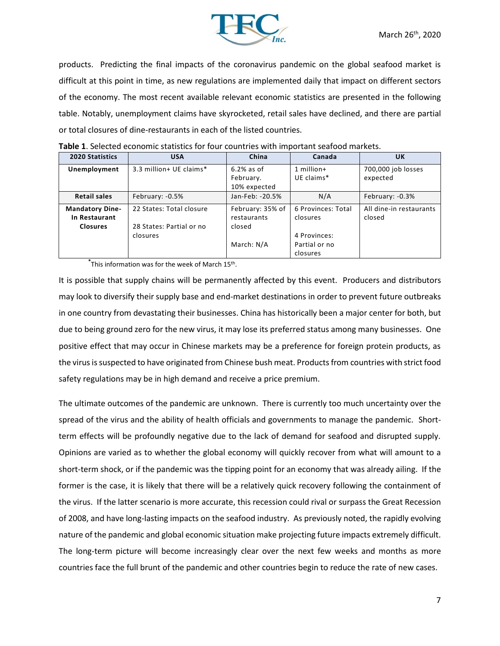

products. Predicting the final impacts of the coronavirus pandemic on the global seafood market is difficult at this point in time, as new regulations are implemented daily that impact on different sectors of the economy. The most recent available relevant economic statistics are presented in the following table. Notably, unemployment claims have skyrocketed, retail sales have declined, and there are partial or total closures of dine-restaurants in each of the listed countries.

| 2020 Statistics        | <b>USA</b>               | China            | Canada             | <b>UK</b>               |
|------------------------|--------------------------|------------------|--------------------|-------------------------|
| Unemployment           | 3.3 million+ UE claims*  | $6.2\%$ as of    | 1 million+         | 700,000 job losses      |
|                        |                          | February.        | UE claims*         | expected                |
|                        |                          | 10% expected     |                    |                         |
| <b>Retail sales</b>    | February: -0.5%          | Jan-Feb: -20.5%  | N/A                | February: -0.3%         |
| <b>Mandatory Dine-</b> | 22 States: Total closure | February: 35% of | 6 Provinces: Total | All dine-in restaurants |
| In Restaurant          |                          | restaurants      | closures           | closed                  |
| <b>Closures</b>        | 28 States: Partial or no | closed           |                    |                         |
|                        | closures                 |                  | 4 Provinces:       |                         |
|                        |                          | March: N/A       | Partial or no      |                         |
|                        |                          |                  | closures           |                         |

**Table 1**. Selected economic statistics for four countries with important seafood markets.

**\*** This information was for the week of March 15th .

It is possible that supply chains will be permanently affected by this event. Producers and distributors may look to diversify their supply base and end-market destinations in order to prevent future outbreaks in one country from devastating their businesses. China has historically been a major center for both, but due to being ground zero for the new virus, it may lose its preferred status among many businesses. One positive effect that may occur in Chinese markets may be a preference for foreign protein products, as the virus is suspected to have originated from Chinese bush meat. Products from countries with strict food safety regulations may be in high demand and receive a price premium.

The ultimate outcomes of the pandemic are unknown. There is currently too much uncertainty over the spread of the virus and the ability of health officials and governments to manage the pandemic. Shortterm effects will be profoundly negative due to the lack of demand for seafood and disrupted supply. Opinions are varied as to whether the global economy will quickly recover from what will amount to a short-term shock, or if the pandemic was the tipping point for an economy that was already ailing. If the former is the case, it is likely that there will be a relatively quick recovery following the containment of the virus. If the latter scenario is more accurate, this recession could rival or surpass the Great Recession of 2008, and have long-lasting impacts on the seafood industry. As previously noted, the rapidly evolving nature of the pandemic and global economic situation make projecting future impacts extremely difficult. The long-term picture will become increasingly clear over the next few weeks and months as more countries face the full brunt of the pandemic and other countries begin to reduce the rate of new cases.